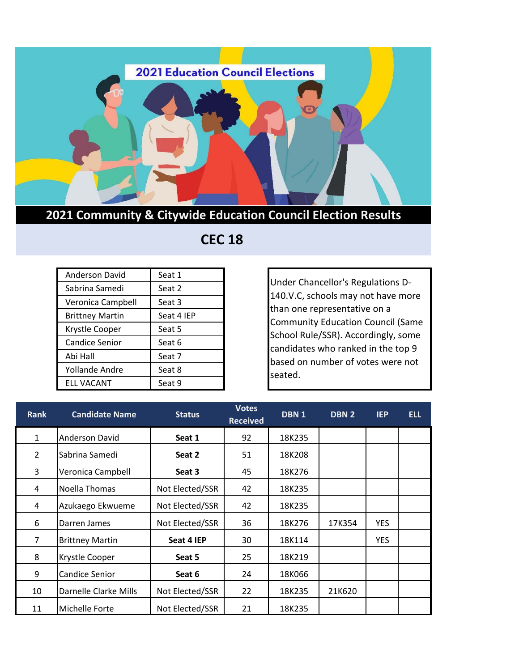

## **2021 Community & Citywide Education Council Election Results**

## **CEC 18**

| <b>Anderson David</b>  | Seat 1     |
|------------------------|------------|
| Sabrina Samedi         | Seat 2     |
| Veronica Campbell      | Seat 3     |
| <b>Brittney Martin</b> | Seat 4 IEP |
| Krystle Cooper         | Seat 5     |
| <b>Candice Senior</b>  | Seat 6     |
| Abi Hall               | Seat 7     |
| <b>Yollande Andre</b>  | Seat 8     |
| <b>ELL VACANT</b>      | Seat 9     |

Under Chancellor's Regulations D-140.V.C, schools may not have more than one representative on a Community Education Council (Same School Rule/SSR). Accordingly, some candidates who ranked in the top 9 based on number of votes were not seated.

| <b>Rank</b>    | <b>Candidate Name</b>  | <b>Status</b>   | <b>Votes</b><br><b>Received</b> | DBN <sub>1</sub> | DBN <sub>2</sub> | <b>IEP</b> | <b>ELL</b> |
|----------------|------------------------|-----------------|---------------------------------|------------------|------------------|------------|------------|
| $\mathbf{1}$   | Anderson David         | Seat 1          | 92                              | 18K235           |                  |            |            |
| $\overline{2}$ | Sabrina Samedi         | Seat 2          | 51                              | 18K208           |                  |            |            |
| 3              | Veronica Campbell      | Seat 3          | 45                              | 18K276           |                  |            |            |
| 4              | Noella Thomas          | Not Elected/SSR | 42                              | 18K235           |                  |            |            |
| 4              | Azukaego Ekwueme       | Not Elected/SSR | 42                              | 18K235           |                  |            |            |
| 6              | Darren James           | Not Elected/SSR | 36                              | 18K276           | 17K354           | <b>YES</b> |            |
| 7              | <b>Brittney Martin</b> | Seat 4 IEP      | 30                              | 18K114           |                  | <b>YES</b> |            |
| 8              | Krystle Cooper         | Seat 5          | 25                              | 18K219           |                  |            |            |
| 9              | <b>Candice Senior</b>  | Seat 6          | 24                              | 18K066           |                  |            |            |
| 10             | Darnelle Clarke Mills  | Not Elected/SSR | 22                              | 18K235           | 21K620           |            |            |
| 11             | Michelle Forte         | Not Elected/SSR | 21                              | 18K235           |                  |            |            |